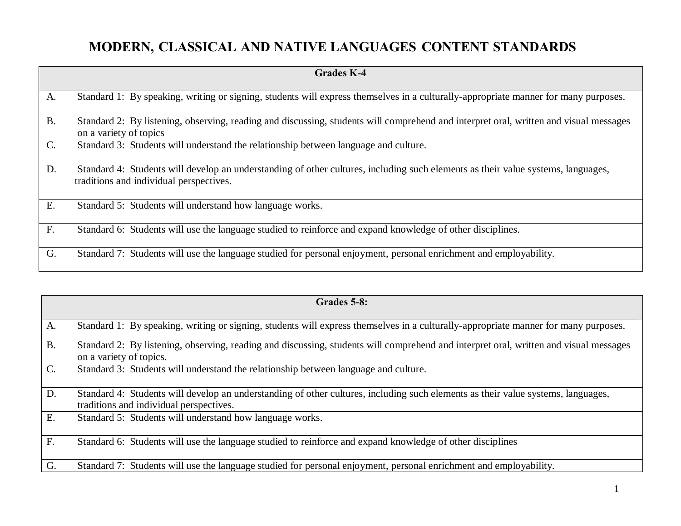## **MODERN, CLASSICAL AND NATIVE LANGUAGES CONTENT STANDARDS**

|                | <b>Grades K-4</b>                                                                                                                                                           |
|----------------|-----------------------------------------------------------------------------------------------------------------------------------------------------------------------------|
| A.             | Standard 1: By speaking, writing or signing, students will express themselves in a culturally-appropriate manner for many purposes.                                         |
|                |                                                                                                                                                                             |
| <b>B.</b>      | Standard 2: By listening, observing, reading and discussing, students will comprehend and interpret oral, written and visual messages<br>on a variety of topics             |
| $\mathbf{C}$ . | Standard 3: Students will understand the relationship between language and culture.                                                                                         |
| D.             | Standard 4: Students will develop an understanding of other cultures, including such elements as their value systems, languages,<br>traditions and individual perspectives. |
| E.             | Standard 5: Students will understand how language works.                                                                                                                    |
| F.             | Standard 6: Students will use the language studied to reinforce and expand knowledge of other disciplines.                                                                  |
| G.             | Standard 7: Students will use the language studied for personal enjoyment, personal enrichment and employability.                                                           |

|                  | Grades 5-8:                                                                                                                           |
|------------------|---------------------------------------------------------------------------------------------------------------------------------------|
|                  |                                                                                                                                       |
| A.               | Standard 1: By speaking, writing or signing, students will express themselves in a culturally-appropriate manner for many purposes.   |
| B.               | Standard 2: By listening, observing, reading and discussing, students will comprehend and interpret oral, written and visual messages |
|                  | on a variety of topics.                                                                                                               |
| $C$ .            | Standard 3: Students will understand the relationship between language and culture.                                                   |
|                  |                                                                                                                                       |
| $\overline{D}$ . | Standard 4: Students will develop an understanding of other cultures, including such elements as their value systems, languages,      |
|                  | traditions and individual perspectives.                                                                                               |
| $\overline{E}$ . | Standard 5: Students will understand how language works.                                                                              |
|                  |                                                                                                                                       |
| F.               | Standard 6: Students will use the language studied to reinforce and expand knowledge of other disciplines                             |
|                  |                                                                                                                                       |
| G.               | Standard 7: Students will use the language studied for personal enjoyment, personal enrichment and employability.                     |